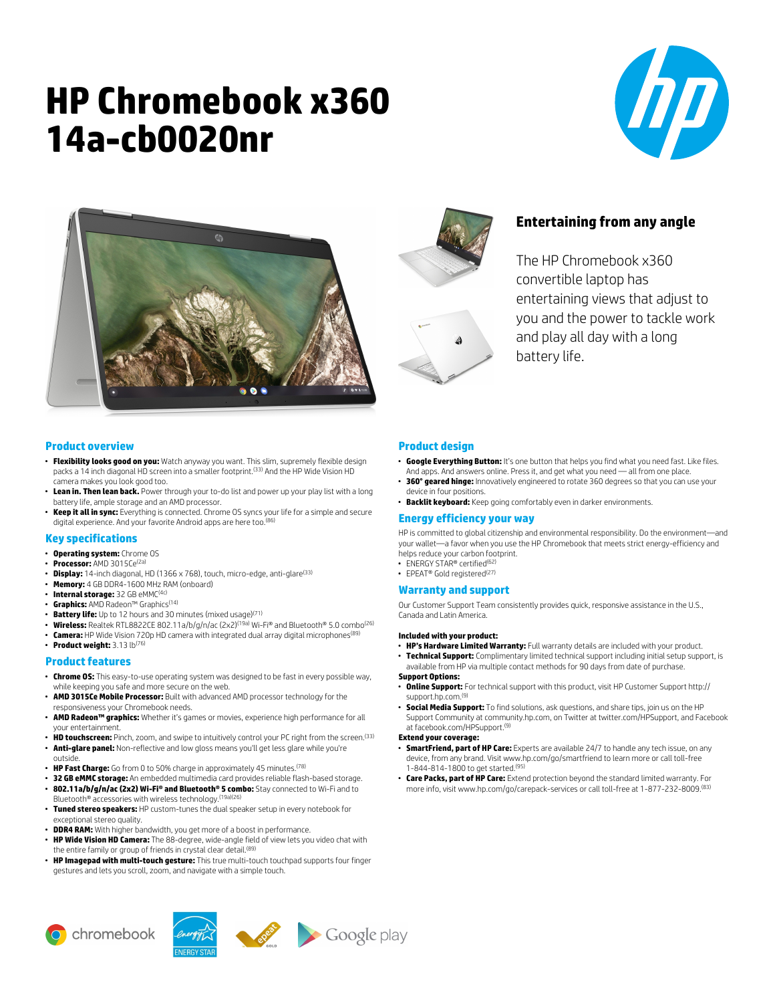# **HP Chromebook x360 14a-cb0020nr**







# **Entertaining from any angle**

The HP Chromebook x360 convertible laptop has entertaining views that adjust to you and the power to tackle work and play all day with a long battery life.

## **Product overview**

- **Flexibility looks good on you:** Watch anyway you want. This slim, supremely flexible design packs a 14 inch diagonal HD screen into a smaller footprint.<sup>(33)</sup> And the HP Wide Vision HD camera makes you look good too.
- **Lean in. Then lean back.** Power through your to-do list and power up your play list with a long battery life, ample storage and an AMD processor.
- **Keep it all in sync:** Everything is connected. Chrome OS syncs your life for a simple and secure digital experience. And your favorite Android apps are here too.<sup>(86)</sup>

#### **Key specifications**

- **Operating system:** Chrome OS
- **Processor:** AMD 3015Ce(2a)
- **Display:** 14-inch diagonal, HD (1366 x 768), touch, micro-edge, anti-glare(33)
- **Memory:** 4 GB DDR4-1600 MHz RAM (onboard)
- **Internal storage:** 32 GB eMMC(4c)
- **Graphics:** AMD Radeon™ Graphics(14)
- **Battery life:** Up to 12 hours and 30 minutes (mixed usage)(71)
- Wireless: Realtek RTL8822CE 802.11a/b/g/n/ac (2x2)<sup>(19a)</sup> Wi-Fi® and Bluetooth® 5.0 combo<sup>(26)</sup>
- **Camera:** HP Wide Vision 720p HD camera with integrated dual array digital microphones(89)
- **Product weight:** 3.13 lb(76)

## **Product features**

- **Chrome OS:** This easy-to-use operating system was designed to be fast in every possible way, while keeping you safe and more secure on the web.
- **AMD 3015Ce Mobile Processor:** Built with advanced AMD processor technology for the responsiveness your Chromebook needs.
- **AMD Radeon™ graphics:** Whether it's games or movies, experience high performance for all your entertainment.
- **HD touchscreen:** Pinch, zoom, and swipe to intuitively control your PC right from the screen.<sup>(33)</sup>
- **Anti-glare panel:** Non-reflective and low gloss means you'll get less glare while you're outside.
- **HP Fast Charge:** Go from 0 to 50% charge in approximately 45 minutes.(78)
- **32 GB eMMC storage:** An embedded multimedia card provides reliable flash-based storage.
- **802.11a/b/g/n/ac (2x2) Wi-Fi® and Bluetooth® 5 combo:** Stay connected to Wi-Fi and to Bluetooth® accessories with wireless technology.(19a)(26)
- **Tuned stereo speakers:** HP custom-tunes the dual speaker setup in every notebook for exceptional stereo quality.
- **DDR4 RAM:** With higher bandwidth, you get more of a boost in performance.
- **HP Wide Vision HD Camera:** The 88-degree, wide-angle field of view lets you video chat with the entire family or group of friends in crystal clear detail.<sup>(89</sup>)
- **HP Imagepad with multi-touch gesture:** This true multi-touch touchpad supports four finger gestures and lets you scroll, zoom, and navigate with a simple touch.

# **Product design**

- **Google Everything Button:** It's one button that helps you find what you need fast. Like files. And apps. And answers online. Press it, and get what you need — all from one place.
- **360° geared hinge:** Innovatively engineered to rotate 360 degrees so that you can use your device in four positions.
- **Backlit keyboard:** Keep going comfortably even in darker environments.

#### **Energy efficiency your way**

HP is committed to global citizenship and environmental responsibility. Do the environment—and your wallet—a favor when you use the HP Chromebook that meets strict energy-efficiency and helps reduce your carbon footprint.

- ENERGY STAR® certified<sup>(62</sup>
- EPEAT® Gold registered(27)

#### **Warranty and support**

Our Customer Support Team consistently provides quick, responsive assistance in the U.S., Canada and Latin America.

#### **Included with your product:**

- **HP's Hardware Limited Warranty:** Full warranty details are included with your product.
- **Technical Support:** Complimentary limited technical support including initial setup support, is available from HP via multiple contact methods for 90 days from date of purchase.

### **Support Options:**

- **Online Support:** For technical support with this product, visit HP Customer Support http:// support.hp.com.<sup>(9</sup>
- **Social Media Support:** To find solutions, ask questions, and share tips, join us on the HP Support Community at community.hp.com, on Twitter at twitter.com/HPSupport, and Facebook at facebook.com/HPSupport.(9)

#### **Extend your coverage:**

- **SmartFriend, part of HP Care:** Experts are available 24/7 to handle any tech issue, on any device, from any brand. Visit www.hp.com/go/smartfriend to learn more or call toll-free 1-844-814-1800 to get started.(95)
- **Care Packs, part of HP Care:** Extend protection beyond the standard limited warranty. For more info, visit www.hp.com/go/carepack-services or call toll-free at 1-877-232-8009.(83)